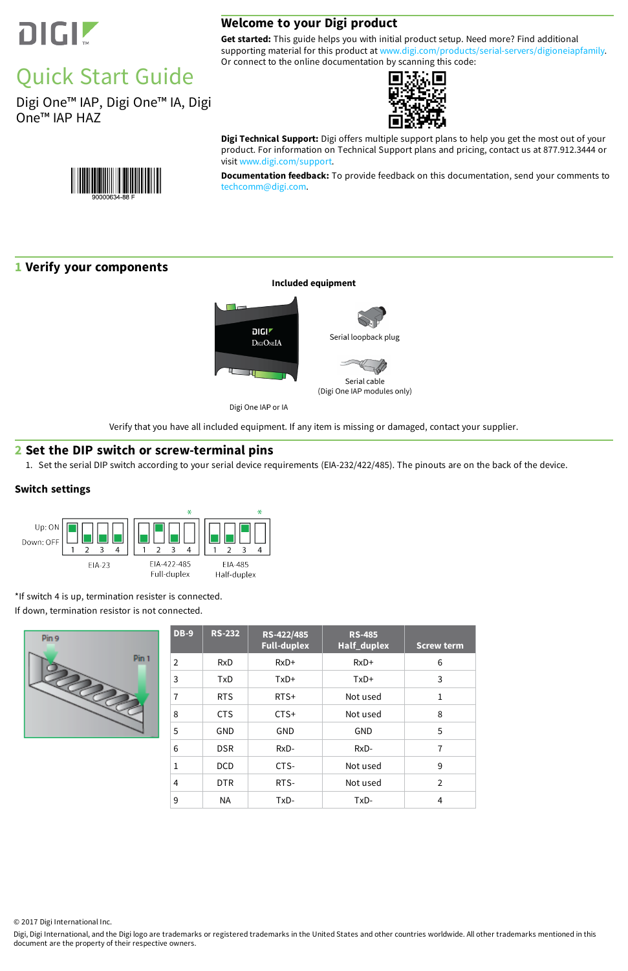

# Quick Start Guide

Digi One™ IAP, Digi One™ IA, Digi One™ IAP HAZ



**Get started:** This guide helps you with initial product setup. Need more? Find additional supporting material for this product at [www.digi.com/products/serial-servers/digioneiapfamily.](https://www.digi.com/products/serial-servers/industrial-hardened-serial-servers/digioneiapfamily) Or connect to the online documentation by scanning this code:



**Digi Technical Support:** Digi offers multiple support plans to help you get the most out of your product. For information on Technical Support plans and pricing, contact us at 877.912.3444 or visit [www.digi.com/support](http://www.digi.com/support).

**Documentation feedback:** To provide feedback on this documentation, send your comments to [techcomm@digi.com](mailto:techcomm@digi.com).

## **1 Verify your components**

<u> III III III III III II</u>



Verify that you have all included equipment. If any item is missing or damaged, contact your supplier.

### **2 Set the DIP switch or screw-terminal pins**

1. Set the serial DIP switch according to your serial device requirements (EIA-232/422/485). The pinouts are on the back of the device.

#### **Switch settings**



\*If switch 4 is up, termination resister is connected.

If down, termination resistor is not connected.



|  | <b>DB-9</b>    | <b>RS-232</b> | RS-422/485<br><b>Full-duplex</b> | <b>RS-485</b><br>Half_duplex | <b>Screw term</b> |
|--|----------------|---------------|----------------------------------|------------------------------|-------------------|
|  | $\overline{2}$ | <b>RxD</b>    | $RxD+$                           | $RxD+$                       | 6                 |
|  | 3              | TxD           | TxD+                             | $TxD+$                       | 3                 |
|  | $\overline{1}$ | <b>RTS</b>    | $RTS+$                           | Not used                     | $\mathbf{1}$      |
|  | 8              | <b>CTS</b>    | $CTS+$                           | Not used                     | 8                 |
|  | 5              | <b>GND</b>    | <b>GND</b>                       | <b>GND</b>                   | 5                 |
|  | 6              | <b>DSR</b>    | $RxD-$                           | $RxD-$                       | $\overline{7}$    |
|  | $\mathbf{1}$   | <b>DCD</b>    | CTS-                             | Not used                     | 9                 |
|  | 4              | <b>DTR</b>    | RTS-                             | Not used                     | $\overline{2}$    |
|  | 9              | NA.           | TxD-                             | TxD-                         | 4                 |

© 2017 Digi International Inc.

Digi, Digi International, and the Digi logo are trademarks or registered trademarks in the United States and other countries worldwide. All other trademarks mentioned in this document are the property of their respective owners.